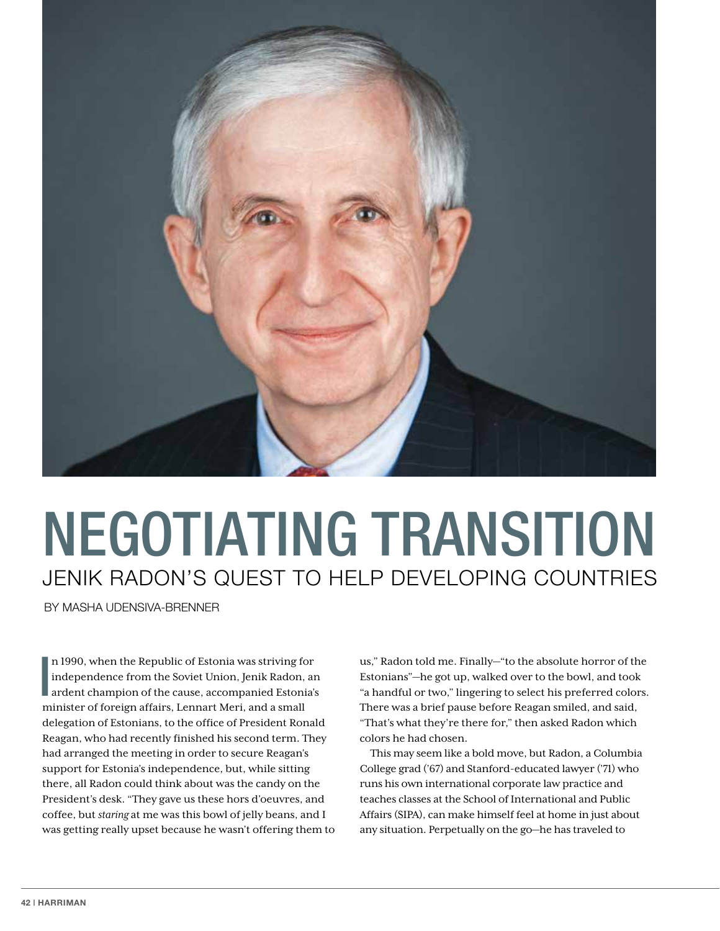

## JENIK RADON'S QUEST TO HELP DEVELOPING COUNTRIES NEGOTIATING TRANSITION

BY MASHA UDENSIVA-BRENNER

n 1990, when the Republic of Estonia was striving for<br>independence from the Soviet Union, Jenik Radon, an<br>ardent champion of the cause, accompanied Estonia's n 1990, when the Republic of Estonia was striving for independence from the Soviet Union, Jenik Radon, an minister of foreign affairs, Lennart Meri, and a small delegation of Estonians, to the office of President Ronald Reagan, who had recently finished his second term. They had arranged the meeting in order to secure Reagan's support for Estonia's independence, but, while sitting there, all Radon could think about was the candy on the President's desk. "They gave us these hors d'oeuvres, and coffee, but *staring* at me was this bowl of jelly beans, and I was getting really upset because he wasn't offering them to us," Radon told me. Finally—"to the absolute horror of the Estonians"—he got up, walked over to the bowl, and took "a handful or two," lingering to select his preferred colors. There was a brief pause before Reagan smiled, and said, "That's what they're there for," then asked Radon which colors he had chosen.

This may seem like a bold move, but Radon, a Columbia College grad ('67) and Stanford-educated lawyer ('71) who runs his own international corporate law practice and teaches classes at the School of International and Public Affairs (SIPA), can make himself feel at home in just about any situation. Perpetually on the go—he has traveled to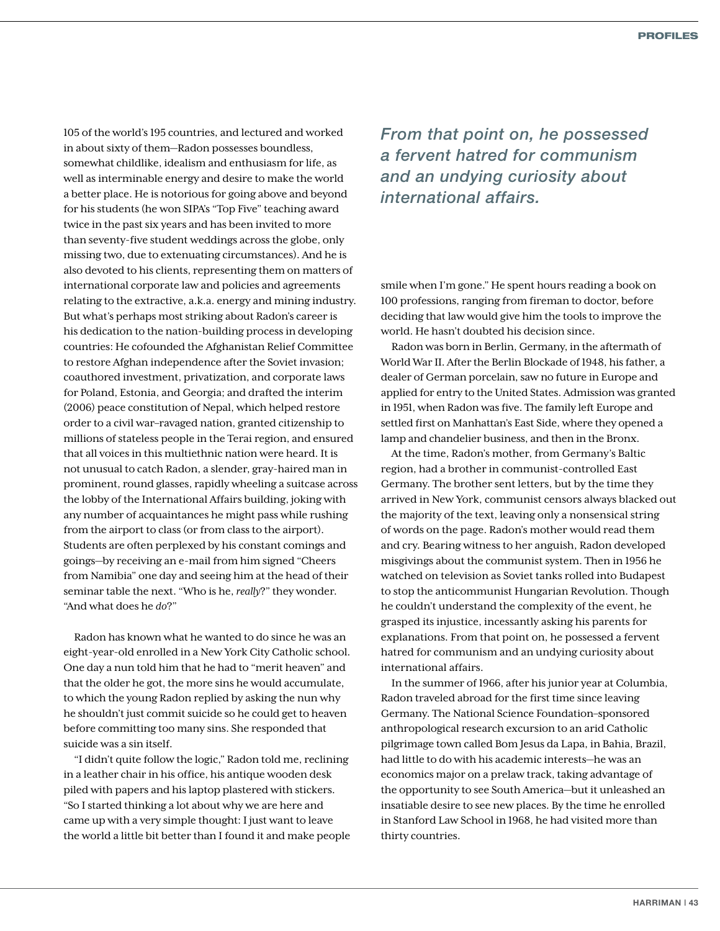105 of the world's 195 countries, and lectured and worked in about sixty of them—Radon possesses boundless, somewhat childlike, idealism and enthusiasm for life, as well as interminable energy and desire to make the world a better place. He is notorious for going above and beyond for his students (he won SIPA's "Top Five" teaching award twice in the past six years and has been invited to more than seventy-five student weddings across the globe, only missing two, due to extenuating circumstances). And he is also devoted to his clients, representing them on matters of international corporate law and policies and agreements relating to the extractive, a.k.a. energy and mining industry. But what's perhaps most striking about Radon's career is his dedication to the nation-building process in developing countries: He cofounded the Afghanistan Relief Committee to restore Afghan independence after the Soviet invasion; coauthored investment, privatization, and corporate laws for Poland, Estonia, and Georgia; and drafted the interim (2006) peace constitution of Nepal, which helped restore order to a civil war–ravaged nation, granted citizenship to millions of stateless people in the Terai region, and ensured that all voices in this multiethnic nation were heard. It is not unusual to catch Radon, a slender, gray-haired man in prominent, round glasses, rapidly wheeling a suitcase across the lobby of the International Affairs building, joking with any number of acquaintances he might pass while rushing from the airport to class (or from class to the airport). Students are often perplexed by his constant comings and goings—by receiving an e-mail from him signed "Cheers from Namibia" one day and seeing him at the head of their seminar table the next. "Who is he, *really*?" they wonder. "And what does he *do*?"

Radon has known what he wanted to do since he was an eight-year-old enrolled in a New York City Catholic school. One day a nun told him that he had to "merit heaven" and that the older he got, the more sins he would accumulate, to which the young Radon replied by asking the nun why he shouldn't just commit suicide so he could get to heaven before committing too many sins. She responded that suicide was a sin itself.

"I didn't quite follow the logic," Radon told me, reclining in a leather chair in his office, his antique wooden desk piled with papers and his laptop plastered with stickers. "So I started thinking a lot about why we are here and came up with a very simple thought: I just want to leave the world a little bit better than I found it and make people

*From that point on, he possessed a fervent hatred for communism and an undying curiosity about international affairs.*

smile when I'm gone." He spent hours reading a book on 100 professions, ranging from fireman to doctor, before deciding that law would give him the tools to improve the world. He hasn't doubted his decision since.

Radon was born in Berlin, Germany, in the aftermath of World War II. After the Berlin Blockade of 1948, his father, a dealer of German porcelain, saw no future in Europe and applied for entry to the United States. Admission was granted in 1951, when Radon was five. The family left Europe and settled first on Manhattan's East Side, where they opened a lamp and chandelier business, and then in the Bronx.

At the time, Radon's mother, from Germany's Baltic region, had a brother in communist-controlled East Germany. The brother sent letters, but by the time they arrived in New York, communist censors always blacked out the majority of the text, leaving only a nonsensical string of words on the page. Radon's mother would read them and cry. Bearing witness to her anguish, Radon developed misgivings about the communist system. Then in 1956 he watched on television as Soviet tanks rolled into Budapest to stop the anticommunist Hungarian Revolution. Though he couldn't understand the complexity of the event, he grasped its injustice, incessantly asking his parents for explanations. From that point on, he possessed a fervent hatred for communism and an undying curiosity about international affairs.

In the summer of 1966, after his junior year at Columbia, Radon traveled abroad for the first time since leaving Germany. The National Science Foundation–sponsored anthropological research excursion to an arid Catholic pilgrimage town called Bom Jesus da Lapa, in Bahia, Brazil, had little to do with his academic interests—he was an economics major on a prelaw track, taking advantage of the opportunity to see South America—but it unleashed an insatiable desire to see new places. By the time he enrolled in Stanford Law School in 1968, he had visited more than thirty countries.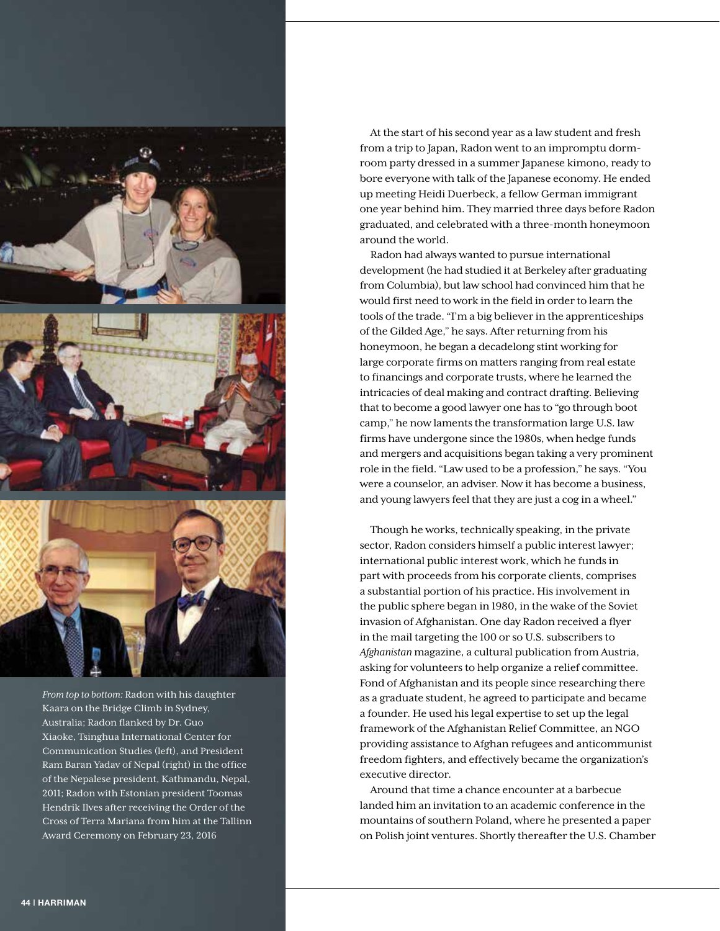

*From top to bottom:* Radon with his daughter Kaara on the Bridge Climb in Sydney, Australia; Radon flanked by Dr. Guo Xiaoke, Tsinghua International Center for Communication Studies (left), and President Ram Baran Yadav of Nepal (right) in the office of the Nepalese president, Kathmandu, Nepal, 2011; Radon with Estonian president Toomas Hendrik Ilves after receiving the Order of the Cross of Terra Mariana from him at the Tallinn Award Ceremony on February 23, 2016

At the start of his second year as a law student and fresh from a trip to Japan, Radon went to an impromptu dormroom party dressed in a summer Japanese kimono, ready to bore everyone with talk of the Japanese economy. He ended up meeting Heidi Duerbeck, a fellow German immigrant one year behind him. They married three days before Radon graduated, and celebrated with a three-month honeymoon around the world.

Radon had always wanted to pursue international development (he had studied it at Berkeley after graduating from Columbia), but law school had convinced him that he would first need to work in the field in order to learn the tools of the trade. "I'm a big believer in the apprenticeships of the Gilded Age," he says. After returning from his honeymoon, he began a decadelong stint working for large corporate firms on matters ranging from real estate to financings and corporate trusts, where he learned the intricacies of deal making and contract drafting. Believing that to become a good lawyer one has to "go through boot camp," he now laments the transformation large U.S. law firms have undergone since the 1980s, when hedge funds and mergers and acquisitions began taking a very prominent role in the field. "Law used to be a profession," he says. "You were a counselor, an adviser. Now it has become a business, and young lawyers feel that they are just a cog in a wheel."

Though he works, technically speaking, in the private sector, Radon considers himself a public interest lawyer; international public interest work, which he funds in part with proceeds from his corporate clients, comprises a substantial portion of his practice. His involvement in the public sphere began in 1980, in the wake of the Soviet invasion of Afghanistan. One day Radon received a flyer in the mail targeting the 100 or so U.S. subscribers to *Afghanistan* magazine, a cultural publication from Austria, asking for volunteers to help organize a relief committee. Fond of Afghanistan and its people since researching there as a graduate student, he agreed to participate and became a founder. He used his legal expertise to set up the legal framework of the Afghanistan Relief Committee, an NGO providing assistance to Afghan refugees and anticommunist freedom fighters, and effectively became the organization's executive director.

Around that time a chance encounter at a barbecue landed him an invitation to an academic conference in the mountains of southern Poland, where he presented a paper on Polish joint ventures. Shortly thereafter the U.S. Chamber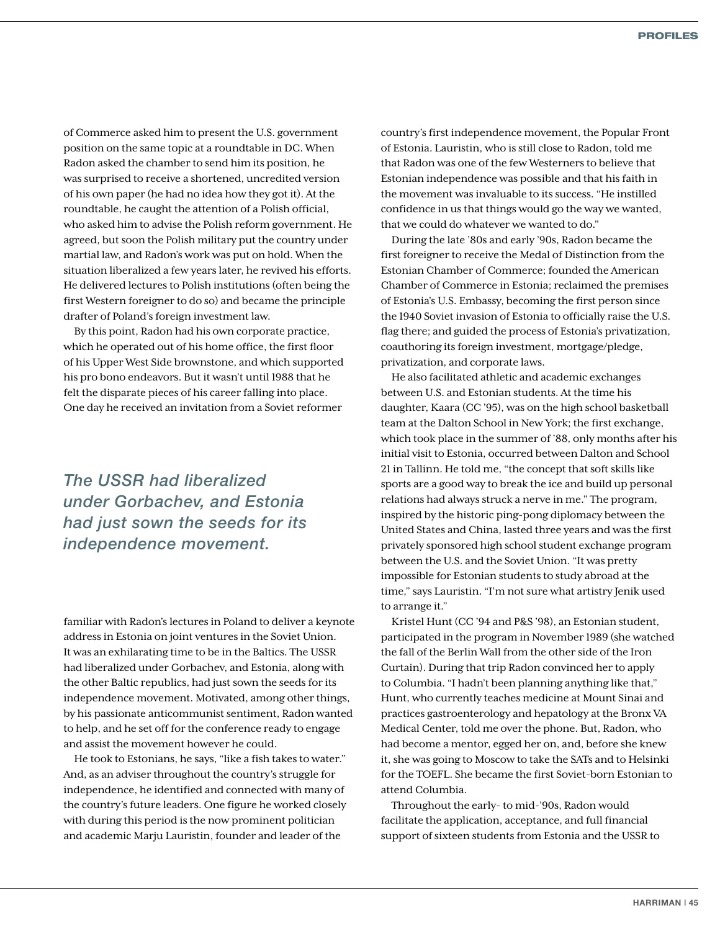of Commerce asked him to present the U.S. government position on the same topic at a roundtable in DC. When Radon asked the chamber to send him its position, he was surprised to receive a shortened, uncredited version of his own paper (he had no idea how they got it). At the roundtable, he caught the attention of a Polish official, who asked him to advise the Polish reform government. He agreed, but soon the Polish military put the country under martial law, and Radon's work was put on hold. When the situation liberalized a few years later, he revived his efforts. He delivered lectures to Polish institutions (often being the first Western foreigner to do so) and became the principle drafter of Poland's foreign investment law.

By this point, Radon had his own corporate practice, which he operated out of his home office, the first floor of his Upper West Side brownstone, and which supported his pro bono endeavors. But it wasn't until 1988 that he felt the disparate pieces of his career falling into place. One day he received an invitation from a Soviet reformer

*The USSR had liberalized under Gorbachev, and Estonia had just sown the seeds for its independence movement.*

familiar with Radon's lectures in Poland to deliver a keynote address in Estonia on joint ventures in the Soviet Union. It was an exhilarating time to be in the Baltics. The USSR had liberalized under Gorbachev, and Estonia, along with the other Baltic republics, had just sown the seeds for its independence movement. Motivated, among other things, by his passionate anticommunist sentiment, Radon wanted to help, and he set off for the conference ready to engage and assist the movement however he could.

He took to Estonians, he says, "like a fish takes to water." And, as an adviser throughout the country's struggle for independence, he identified and connected with many of the country's future leaders. One figure he worked closely with during this period is the now prominent politician and academic Marju Lauristin, founder and leader of the

country's first independence movement, the Popular Front of Estonia. Lauristin, who is still close to Radon, told me that Radon was one of the few Westerners to believe that Estonian independence was possible and that his faith in the movement was invaluable to its success. "He instilled confidence in us that things would go the way we wanted, that we could do whatever we wanted to do."

During the late '80s and early '90s, Radon became the first foreigner to receive the Medal of Distinction from the Estonian Chamber of Commerce; founded the American Chamber of Commerce in Estonia; reclaimed the premises of Estonia's U.S. Embassy, becoming the first person since the 1940 Soviet invasion of Estonia to officially raise the U.S. flag there; and guided the process of Estonia's privatization, coauthoring its foreign investment, mortgage/pledge, privatization, and corporate laws.

He also facilitated athletic and academic exchanges between U.S. and Estonian students. At the time his daughter, Kaara (CC '95), was on the high school basketball team at the Dalton School in New York; the first exchange, which took place in the summer of '88, only months after his initial visit to Estonia, occurred between Dalton and School 21 in Tallinn. He told me, "the concept that soft skills like sports are a good way to break the ice and build up personal relations had always struck a nerve in me." The program, inspired by the historic ping-pong diplomacy between the United States and China, lasted three years and was the first privately sponsored high school student exchange program between the U.S. and the Soviet Union. "It was pretty impossible for Estonian students to study abroad at the time," says Lauristin. "I'm not sure what artistry Jenik used to arrange it."

Kristel Hunt (CC '94 and P&S '98), an Estonian student, participated in the program in November 1989 (she watched the fall of the Berlin Wall from the other side of the Iron Curtain). During that trip Radon convinced her to apply to Columbia. "I hadn't been planning anything like that," Hunt, who currently teaches medicine at Mount Sinai and practices gastroenterology and hepatology at the Bronx VA Medical Center, told me over the phone. But, Radon, who had become a mentor, egged her on, and, before she knew it, she was going to Moscow to take the SATs and to Helsinki for the TOEFL. She became the first Soviet-born Estonian to attend Columbia.

Throughout the early- to mid-'90s, Radon would facilitate the application, acceptance, and full financial support of sixteen students from Estonia and the USSR to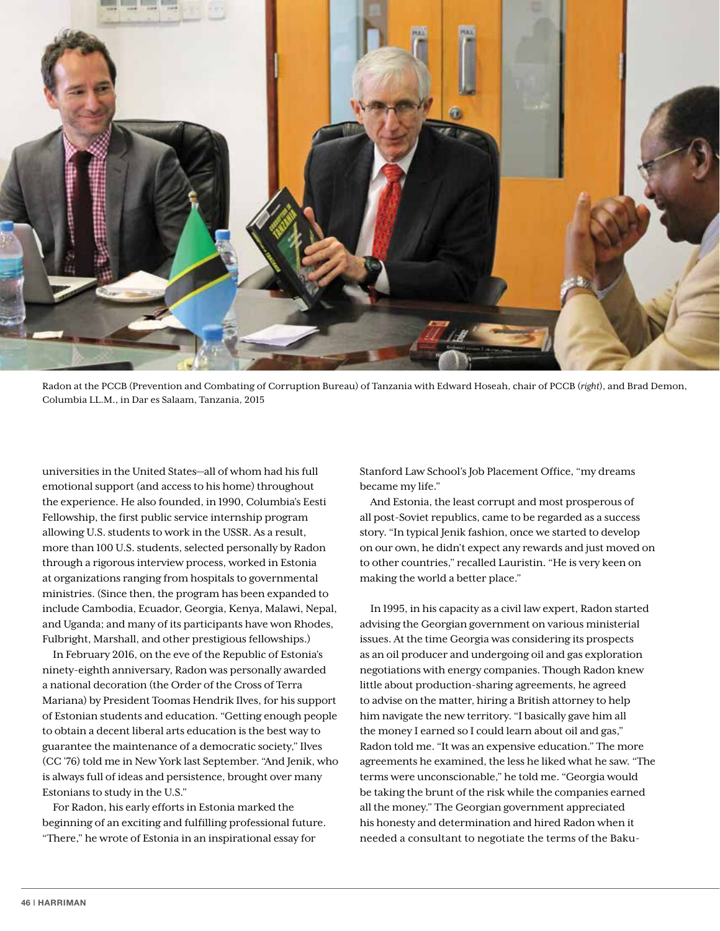

Radon at the PCCB (Prevention and Combating of Corruption Bureau) of Tanzania with Edward Hoseah, chair of PCCB (*right*), and Brad Demon, Columbia LL.M., in Dar es Salaam, Tanzania, 2015

universities in the United States—all of whom had his full emotional support (and access to his home) throughout the experience. He also founded, in 1990, Columbia's Eesti Fellowship, the first public service internship program allowing U.S. students to work in the USSR. As a result, more than 100 U.S. students, selected personally by Radon through a rigorous interview process, worked in Estonia at organizations ranging from hospitals to governmental ministries. (Since then, the program has been expanded to include Cambodia, Ecuador, Georgia, Kenya, Malawi, Nepal, and Uganda; and many of its participants have won Rhodes, Fulbright, Marshall, and other prestigious fellowships.)

In February 2016, on the eve of the Republic of Estonia's ninety-eighth anniversary, Radon was personally awarded a national decoration (the Order of the Cross of Terra Mariana) by President Toomas Hendrik Ilves, for his support of Estonian students and education. "Getting enough people to obtain a decent liberal arts education is the best way to guarantee the maintenance of a democratic society," Ilves (CC '76) told me in New York last September. "And Jenik, who is always full of ideas and persistence, brought over many Estonians to study in the U.S."

For Radon, his early efforts in Estonia marked the beginning of an exciting and fulfilling professional future. "There," he wrote of Estonia in an inspirational essay for

Stanford Law School's Job Placement Office, "my dreams became my life."

And Estonia, the least corrupt and most prosperous of all post-Soviet republics, came to be regarded as a success story. "In typical Jenik fashion, once we started to develop on our own, he didn't expect any rewards and just moved on to other countries," recalled Lauristin. "He is very keen on making the world a better place."

In 1995, in his capacity as a civil law expert, Radon started advising the Georgian government on various ministerial issues. At the time Georgia was considering its prospects as an oil producer and undergoing oil and gas exploration negotiations with energy companies. Though Radon knew little about production-sharing agreements, he agreed to advise on the matter, hiring a British attorney to help him navigate the new territory. "I basically gave him all the money I earned so I could learn about oil and gas," Radon told me. "It was an expensive education." The more agreements he examined, the less he liked what he saw. "The terms were unconscionable," he told me. "Georgia would be taking the brunt of the risk while the companies earned all the money." The Georgian government appreciated his honesty and determination and hired Radon when it needed a consultant to negotiate the terms of the Baku-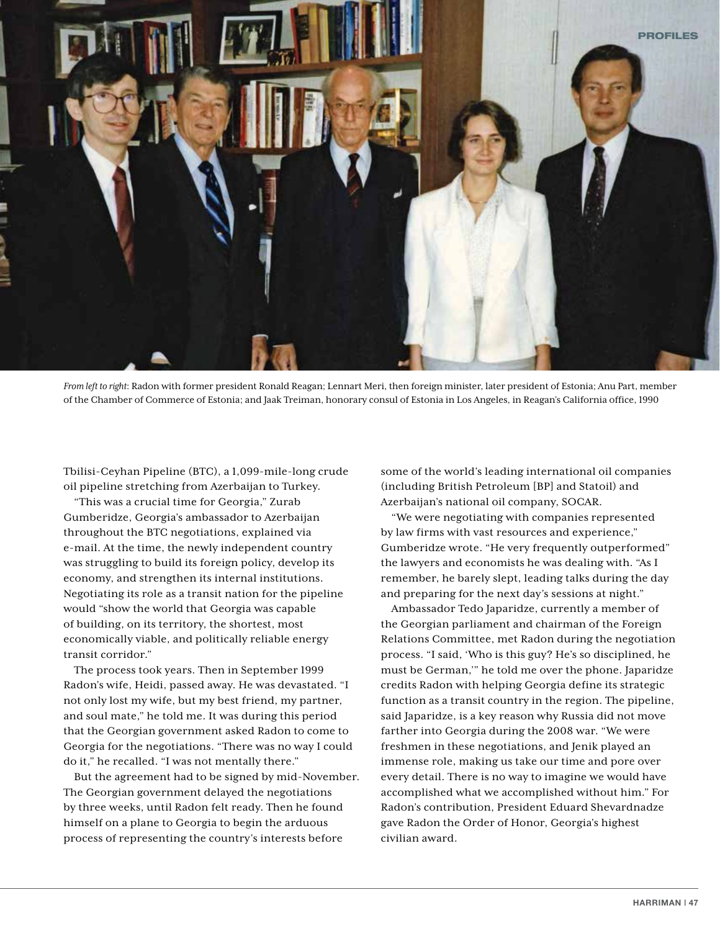

*From left to right*: Radon with former president Ronald Reagan; Lennart Meri, then foreign minister, later president of Estonia; Anu Part, member of the Chamber of Commerce of Estonia; and Jaak Treiman, honorary consul of Estonia in Los Angeles, in Reagan's California office, 1990

Tbilisi-Ceyhan Pipeline (BTC), a 1,099-mile-long crude oil pipeline stretching from Azerbaijan to Turkey.

"This was a crucial time for Georgia," Zurab Gumberidze, Georgia's ambassador to Azerbaijan throughout the BTC negotiations, explained via e-mail. At the time, the newly independent country was struggling to build its foreign policy, develop its economy, and strengthen its internal institutions. Negotiating its role as a transit nation for the pipeline would "show the world that Georgia was capable of building, on its territory, the shortest, most economically viable, and politically reliable energy transit corridor."

The process took years. Then in September 1999 Radon's wife, Heidi, passed away. He was devastated. "I not only lost my wife, but my best friend, my partner, and soul mate," he told me. It was during this period that the Georgian government asked Radon to come to Georgia for the negotiations. "There was no way I could do it," he recalled. "I was not mentally there."

But the agreement had to be signed by mid-November. The Georgian government delayed the negotiations by three weeks, until Radon felt ready. Then he found himself on a plane to Georgia to begin the arduous process of representing the country's interests before

some of the world's leading international oil companies (including British Petroleum [BP] and Statoil) and Azerbaijan's national oil company, SOCAR.

"We were negotiating with companies represented by law firms with vast resources and experience," Gumberidze wrote. "He very frequently outperformed" the lawyers and economists he was dealing with. "As I remember, he barely slept, leading talks during the day and preparing for the next day's sessions at night."

Ambassador Tedo Japaridze, currently a member of the Georgian parliament and chairman of the Foreign Relations Committee, met Radon during the negotiation process. "I said, 'Who is this guy? He's so disciplined, he must be German,'" he told me over the phone. Japaridze credits Radon with helping Georgia define its strategic function as a transit country in the region. The pipeline, said Japaridze, is a key reason why Russia did not move farther into Georgia during the 2008 war. "We were freshmen in these negotiations, and Jenik played an immense role, making us take our time and pore over every detail. There is no way to imagine we would have accomplished what we accomplished without him." For Radon's contribution, President Eduard Shevardnadze gave Radon the Order of Honor, Georgia's highest civilian award.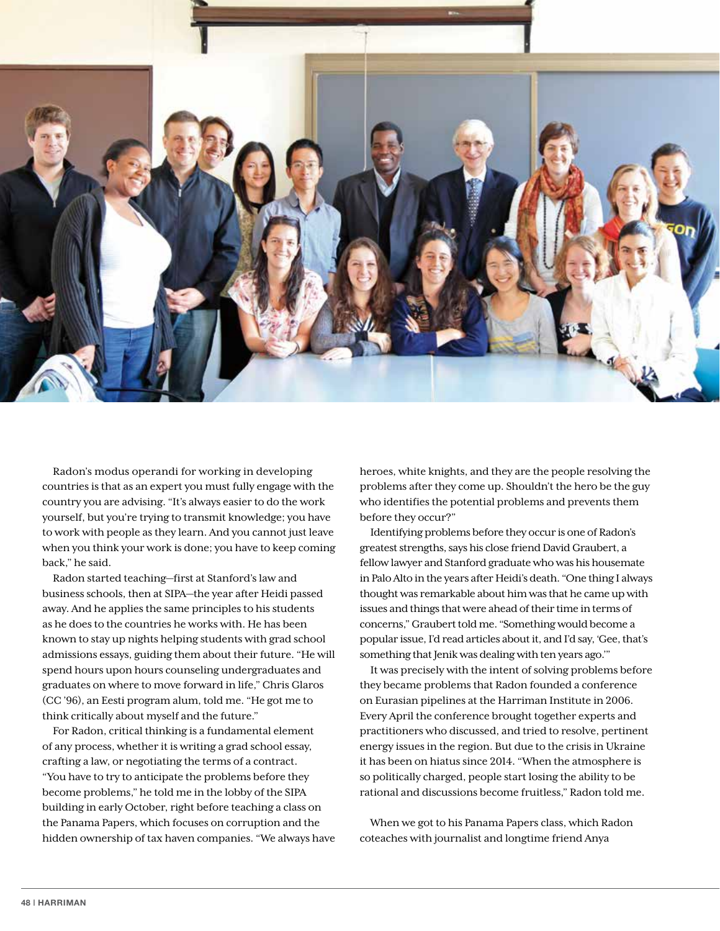

Radon's modus operandi for working in developing countries is that as an expert you must fully engage with the country you are advising. "It's always easier to do the work yourself, but you're trying to transmit knowledge; you have to work with people as they learn. And you cannot just leave when you think your work is done; you have to keep coming back," he said.

Radon started teaching—first at Stanford's law and business schools, then at SIPA—the year after Heidi passed away. And he applies the same principles to his students as he does to the countries he works with. He has been known to stay up nights helping students with grad school admissions essays, guiding them about their future. "He will spend hours upon hours counseling undergraduates and graduates on where to move forward in life," Chris Glaros (CC '96), an Eesti program alum, told me. "He got me to think critically about myself and the future."

For Radon, critical thinking is a fundamental element of any process, whether it is writing a grad school essay, crafting a law, or negotiating the terms of a contract. "You have to try to anticipate the problems before they

become problems," he told me in the lobby of the SIPA building in early October, right before teaching a class on the Panama Papers, which focuses on corruption and the hidden ownership of tax haven companies. "We always have

heroes, white knights, and they are the people resolving the problems after they come up. Shouldn't the hero be the guy who identifies the potential problems and prevents them before they occur?"

Identifying problems before they occur is one of Radon's greatest strengths, says his close friend David Graubert, a fellow lawyer and Stanford graduate who was his housemate in Palo Alto in the years after Heidi's death. "One thing I always thought was remarkable about him was that he came up with issues and things that were ahead of their time in terms of concerns," Graubert told me. "Something would become a popular issue, I'd read articles about it, and I'd say, 'Gee, that's something that Jenik was dealing with ten years ago.'"

It was precisely with the intent of solving problems before they became problems that Radon founded a conference on Eurasian pipelines at the Harriman Institute in 2006. Every April the conference brought together experts and practitioners who discussed, and tried to resolve, pertinent energy issues in the region. But due to the crisis in Ukraine it has been on hiatus since 2014. "When the atmosphere is so politically charged, people start losing the ability to be rational and discussions become fruitless," Radon told me.

When we got to his Panama Papers class, which Radon coteaches with journalist and longtime friend Anya